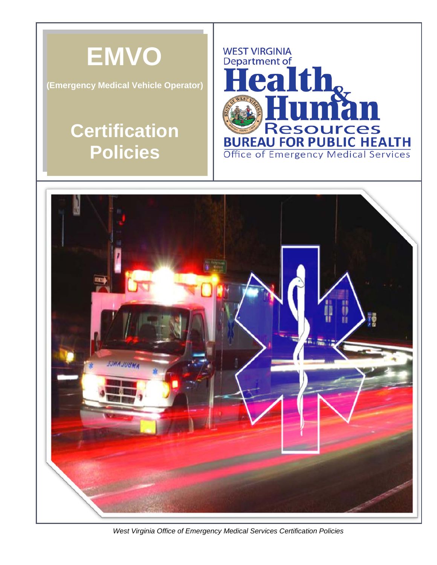

**(Emergency Medical Vehicle Operator)**

## **Certification Policies**





 *West Virginia Office of Emergency Medical Services Certification Policies*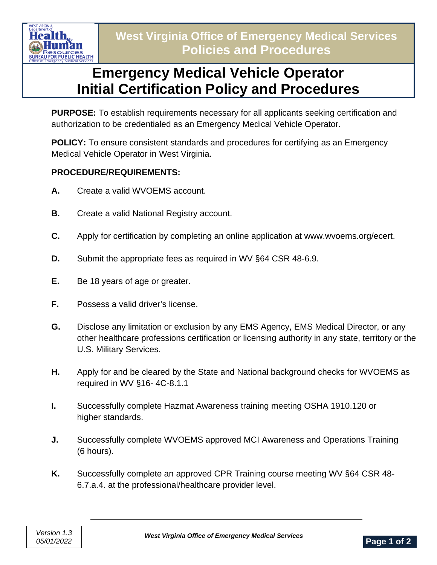

## **Emergency Medical Vehicle Operator Initial Certification Policy and Procedures**

**PURPOSE:** To establish requirements necessary for all applicants seeking certification and authorization to be credentialed as an Emergency Medical Vehicle Operator.

**POLICY:** To ensure consistent standards and procedures for certifying as an Emergency Medical Vehicle Operator in West Virginia.

## **PROCEDURE/REQUIREMENTS:**

- **A.** Create a valid WVOEMS account.
- **B.** Create a valid National Registry account.
- **C.** Apply for certification by completing an online application at www.wvoems.org/ecert.
- **D.** Submit the appropriate fees as required in WV §64 CSR 48-6.9.
- **E.** Be 18 years of age or greater.
- **F.** Possess a valid driver's license.
- **G.** Disclose any limitation or exclusion by any EMS Agency, EMS Medical Director, or any other healthcare professions certification or licensing authority in any state, territory or the U.S. Military Services.
- **H.** Apply for and be cleared by the State and National background checks for WVOEMS as required in WV §16- 4C-8.1.1
- **I.** Successfully complete Hazmat Awareness training meeting OSHA 1910.120 or higher standards.
- **J.** Successfully complete WVOEMS approved MCI Awareness and Operations Training (6 hours).
- **K.** Successfully complete an approved CPR Training course meeting WV §64 CSR 48- 6.7.a.4. at the professional/healthcare provider level.